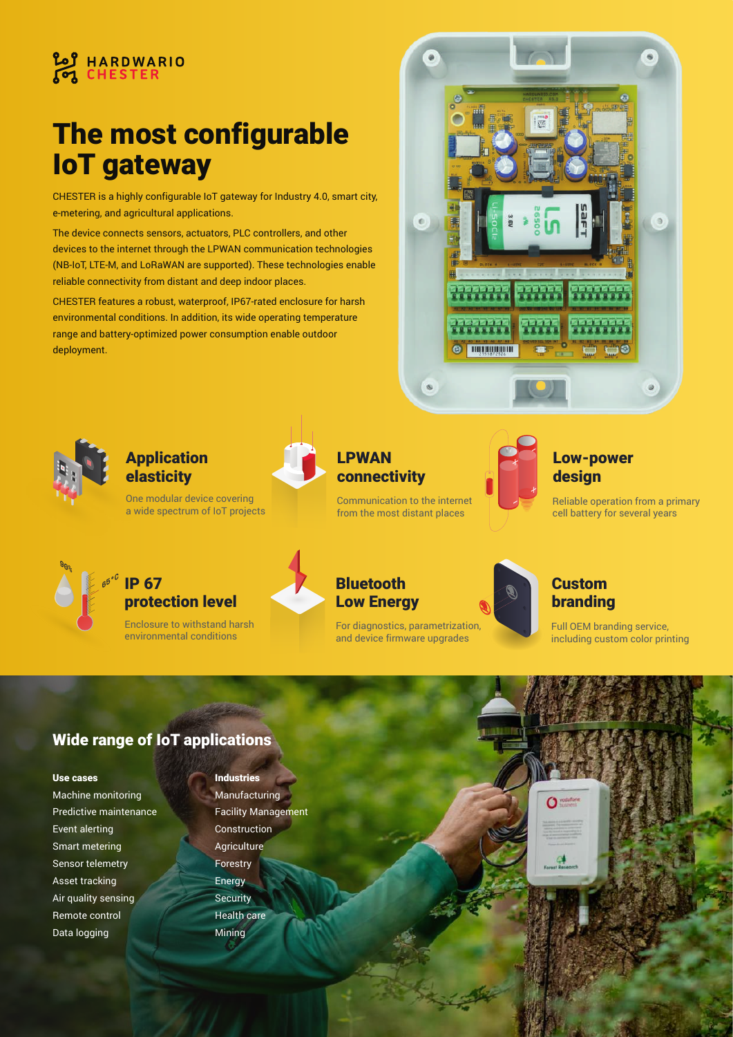

# The most configurable IoT gateway

CHESTER is a highly configurable IoT gateway for Industry 4.0, smart city, e-metering, and agricultural applications.

The device connects sensors, actuators, PLC controllers, and other devices to the internet through the LPWAN communication technologies (NB-IoT, LTE-M, and LoRaWAN are supported). These technologies enable reliable connectivity from distant and deep indoor places.

CHESTER features a robust, waterproof, IP67-rated enclosure for harsh environmental conditions. In addition, its wide operating temperature range and battery-optimized power consumption enable outdoor deployment.





**90%**

Application elasticity

One modular device covering a wide spectrum of IoT projects



IP 67 protection level

Enclosure to withstand harsh environmental conditions



# Bluetooth **Low Energy**

LPWAN

connectivity

For diagnostics, parametrization, and device firmware upgrades

Communication to the internet from the most distant places



# Low-power design

Reliable operation from a primary cell battery for several years

# Custom branding

Full OEM branding service, including custom color printing

# Wide range of IoT applications

#### Use cases

Machine monitoring Predictive maintenance Event alerting Smart metering Sensor telemetry Asset tracking Air quality sensing Remote control Data logging

# Industries

Manufacturing Facility Management Construction **Agriculture** Forestry **Energy Security** Health care Mining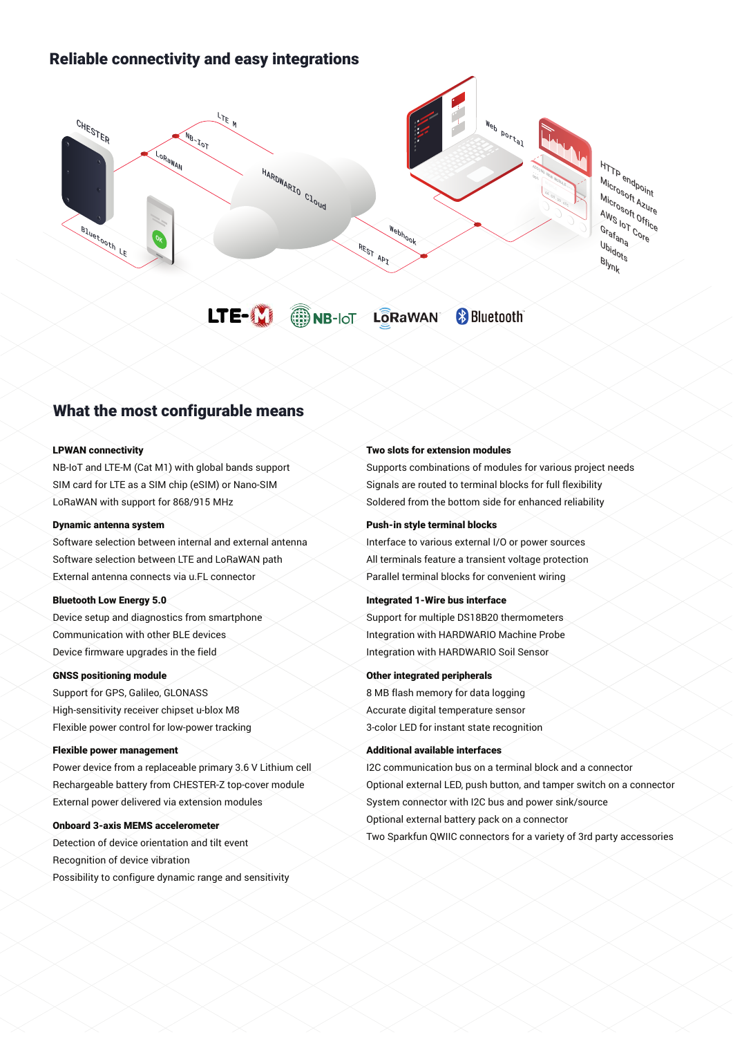# Reliable connectivity and easy integrations



# What the most configurable means

#### LPWAN connectivity

NB-IoT and LTE-M (Cat M1) with global bands support SIM card for LTE as a SIM chip (eSIM) or Nano-SIM LoRaWAN with support for 868/915 MHz

#### Dynamic antenna system

Software selection between internal and external antenna Software selection between LTE and LoRaWAN path External antenna connects via u.FL connector

#### Bluetooth Low Energy 5.0

Device setup and diagnostics from smartphone Communication with other BLE devices Device firmware upgrades in the field

#### GNSS positioning module

Support for GPS, Galileo, GLONASS High-sensitivity receiver chipset u-blox M8 Flexible power control for low-power tracking

#### Flexible power management

Power device from a replaceable primary 3.6 V Lithium cell Rechargeable battery from CHESTER-Z top-cover module External power delivered via extension modules

#### Onboard 3-axis MEMS accelerometer

Detection of device orientation and tilt event Recognition of device vibration Possibility to configure dynamic range and sensitivity

#### Two slots for extension modules

Supports combinations of modules for various project needs Signals are routed to terminal blocks for full flexibility Soldered from the bottom side for enhanced reliability

#### Push-in style terminal blocks

Interface to various external I/O or power sources All terminals feature a transient voltage protection Parallel terminal blocks for convenient wiring

#### Integrated 1-Wire bus interface

Support for multiple DS18B20 thermometers Integration with HARDWARIO Machine Probe Integration with HARDWARIO Soil Sensor

#### Other integrated peripherals

8 MB flash memory for data logging Accurate digital temperature sensor 3-color LED for instant state recognition

#### Additional available interfaces

I2C communication bus on a terminal block and a connector Optional external LED, push button, and tamper switch on a connector System connector with I2C bus and power sink/source Optional external battery pack on a connector Two Sparkfun QWIIC connectors for a variety of 3rd party accessories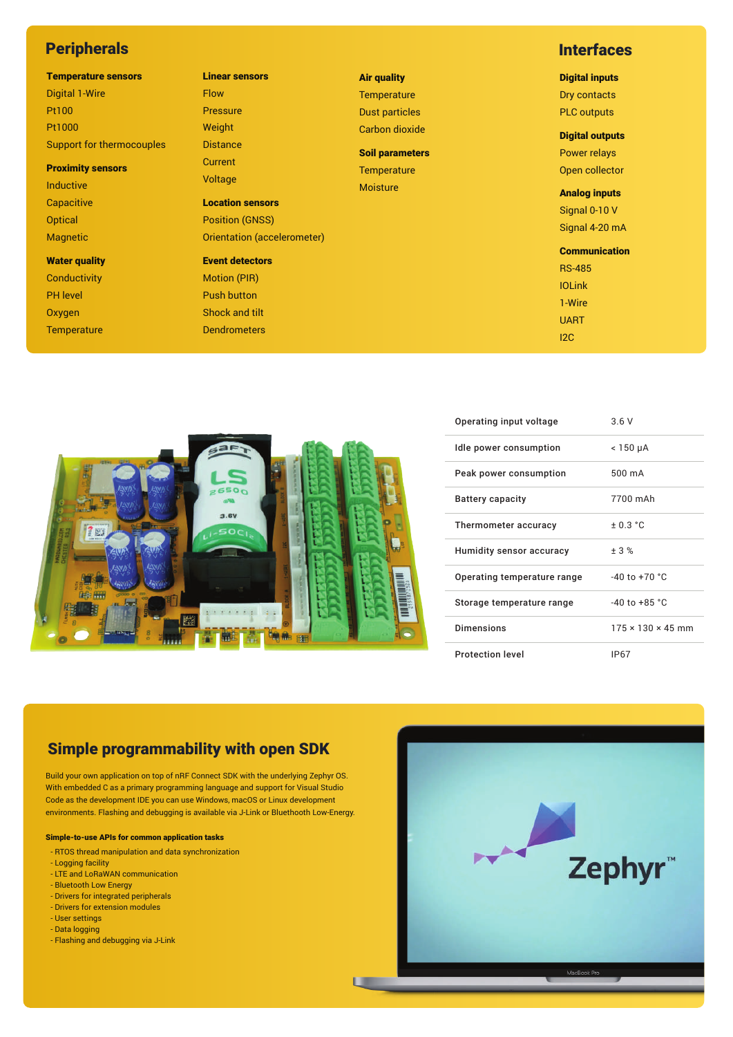# **Peripherals**

#### Temperature sensors

Digital 1-Wire Pt100 Pt1000 Support for thermocouples

#### Proximity sensors

Inductive **Capacitive Optical** Magnetic

Water quality **Conductivity** PH level

Oxygen **Temperature** 

### Linear sensors Flow Pressure Weight **Distance Current**

Voltage

Location sensors Position (GNSS) Orientation (accelerometer)

### Event detectors Motion (PIR) Push button

Shock and tilt Dendrometers Air quality **Temperature** Dust particles

Soil parameters **Temperature** 

Carbon dioxide

Moisture

п

### **Interfaces**

#### Digital inputs

Dry contacts PLC outputs

### Digital outputs

Power relays Open collector

Analog inputs Signal 0-10 V Signal 4-20 mA

**Communication** 

RS-485 IOLink 1-Wire UART I2C



| Operating input voltage     | 3.6V                          |
|-----------------------------|-------------------------------|
| Idle power consumption      | < 150 µA                      |
| Peak power consumption      | 500 mA                        |
| Battery capacity            | 7700 mAh                      |
| Thermometer accuracy        | ± 0.3 °C                      |
| Humidity sensor accuracy    | ± 3%                          |
| Operating temperature range | $-40$ to $+70$ °C             |
| Storage temperature range   | $-40$ to $+85$ °C             |
| <b>Dimensions</b>           | $175 \times 130 \times 45$ mm |
| <b>Protection level</b>     | <b>IP67</b>                   |

# Simple programmability with open SDK

Build your own application on top of nRF Connect SDK with the underlying Zephyr OS. With embedded C as a primary programming language and support for Visual Studio Code as the development IDE you can use Windows, macOS or Linux development environments. Flashing and debugging is available via J-Link or Bluethooth Low-Energy.

#### Simple-to-use APIs for common application tasks

- RTOS thread manipulation and data synchronization
- Logging facility
- LTE and LoRaWAN communication - Bluetooth Low Energy
- Drivers for integrated peripherals
- Drivers for extension modules
- User settings
- Data logging
- Flashing and debugging via J-Link